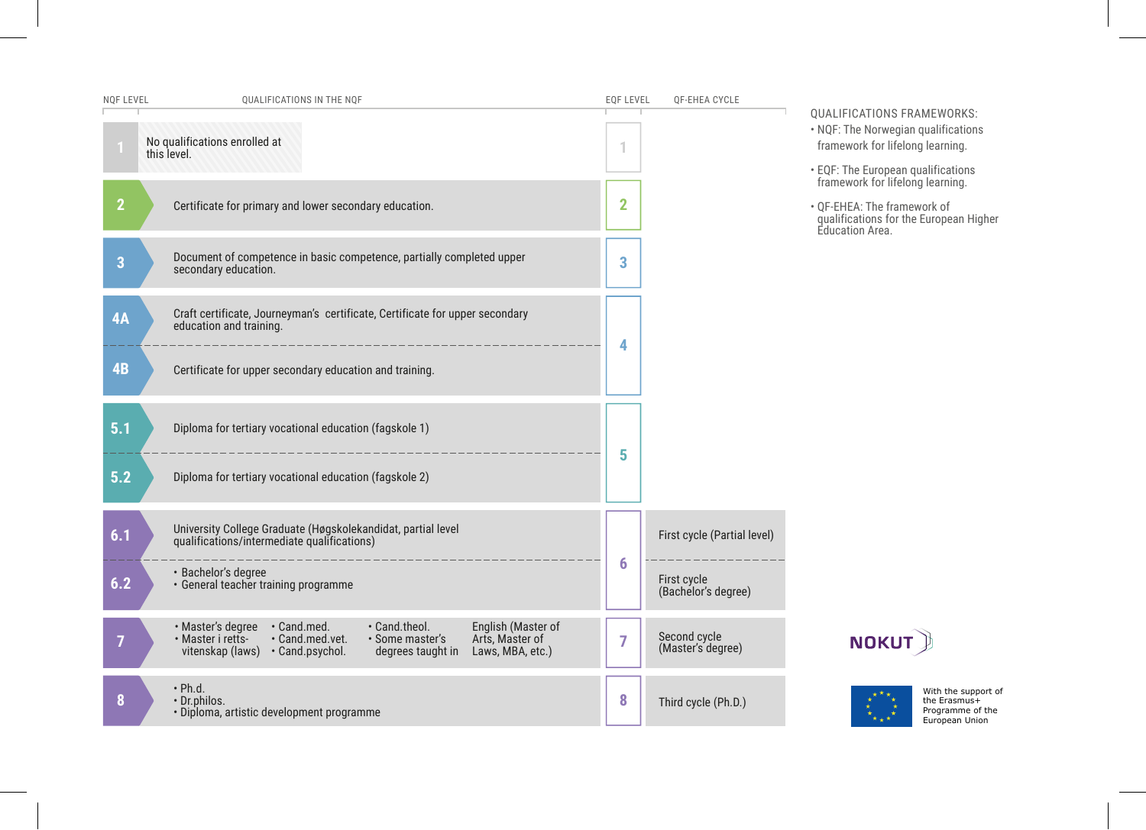| NQF LEVEL      | QUALIFICATIONS IN THE NQF                                                                                                                                                                                                       | <b>EQF LEVEL</b> | QF-EHEA CYCLE                      |                                                                                                                                                                                 |
|----------------|---------------------------------------------------------------------------------------------------------------------------------------------------------------------------------------------------------------------------------|------------------|------------------------------------|---------------------------------------------------------------------------------------------------------------------------------------------------------------------------------|
|                | No qualifications enrolled at<br>this level.                                                                                                                                                                                    |                  |                                    | QUALIFICATIONS FRAMEWORKS:<br>• NQF: The Norwegian qualifications<br>framework for lifelong learning.<br>• EQF: The European qualifications<br>framework for lifelong learning. |
| $\overline{2}$ | Certificate for primary and lower secondary education.                                                                                                                                                                          | $\overline{2}$   |                                    | • OF-EHEA: The framework of<br>qualifications for the European Higher<br>Education Area.                                                                                        |
| $\overline{3}$ | Document of competence in basic competence, partially completed upper<br>secondary education.                                                                                                                                   | 3                |                                    |                                                                                                                                                                                 |
| 4A             | Craft certificate, Journeyman's certificate, Certificate for upper secondary<br>education and training.                                                                                                                         | 4                |                                    |                                                                                                                                                                                 |
| 4B             | Certificate for upper secondary education and training.                                                                                                                                                                         |                  |                                    |                                                                                                                                                                                 |
| 5.1            | Diploma for tertiary vocational education (fagskole 1)                                                                                                                                                                          | 5                |                                    |                                                                                                                                                                                 |
| 5.2            | Diploma for tertiary vocational education (fagskole 2)                                                                                                                                                                          |                  |                                    |                                                                                                                                                                                 |
| 6.1            | University College Graduate (Høgskolekandidat, partial level<br>qualifications/intermediate qualifications)                                                                                                                     |                  | First cycle (Partial level)        |                                                                                                                                                                                 |
| 6.2            | · Bachelor's degree<br>· General teacher training programme                                                                                                                                                                     | 6                | First cycle<br>(Bachelor's degree) |                                                                                                                                                                                 |
| 7              | · Master's degree · Cand.med.<br>• Cand.theol.<br>English (Master of<br>Arts, Master of<br>· Master i retts-<br>· Cand.med.vet.<br>· Some master's<br>vitenskap (laws) · Cand.psychol.<br>Laws, MBA, etc.)<br>degrees taught in | 7                | Second cycle<br>(Master's degree)  | <b>NOKUT</b>                                                                                                                                                                    |
| 8              | $\cdot$ Ph.d.<br>· Dr.philos.<br>· Diploma, artistic development programme                                                                                                                                                      | 8                | Third cycle (Ph.D.)                | With the support of<br>the Erasmus+<br>Programme of the<br>European Union                                                                                                       |